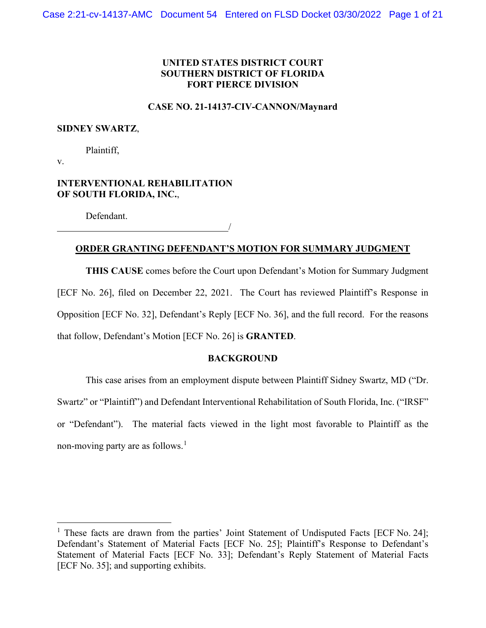### **UNITED STATES DISTRICT COURT SOUTHERN DISTRICT OF FLORIDA FORT PIERCE DIVISION**

#### **CASE NO. 21-14137-CIV-CANNON/Maynard**

#### **SIDNEY SWARTZ**,

Plaintiff,

v.

### **INTERVENTIONAL REHABILITATION OF SOUTH FLORIDA, INC.**,

Defendant.

### **ORDER GRANTING DEFENDANT'S MOTION FOR SUMMARY JUDGMENT**

/

**THIS CAUSE** comes before the Court upon Defendant's Motion for Summary Judgment [ECF No. 26], filed on December 22, 2021. The Court has reviewed Plaintiff's Response in Opposition [ECF No. 32], Defendant's Reply [ECF No. 36], and the full record. For the reasons that follow, Defendant's Motion [ECF No. 26] is **GRANTED**.

#### **BACKGROUND**

This case arises from an employment dispute between Plaintiff Sidney Swartz, MD ("Dr. Swartz" or "Plaintiff") and Defendant Interventional Rehabilitation of South Florida, Inc. ("IRSF" or "Defendant"). The material facts viewed in the light most favorable to Plaintiff as the non-moving party are as follows.<sup>[1](#page-0-0)</sup>

<span id="page-0-0"></span><sup>&</sup>lt;sup>1</sup> These facts are drawn from the parties' Joint Statement of Undisputed Facts [ECF No. 24]; Defendant's Statement of Material Facts [ECF No. 25]; Plaintiff's Response to Defendant's Statement of Material Facts [ECF No. 33]; Defendant's Reply Statement of Material Facts [ECF No. 35]; and supporting exhibits.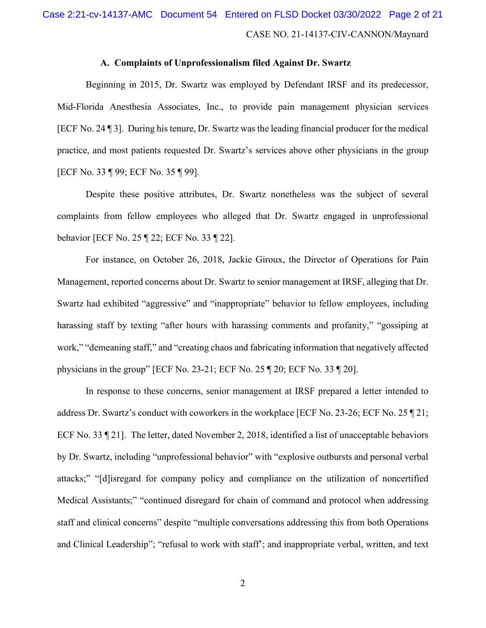# CASE NO. 21-14137-CIV-CANNON/Maynard Case 2:21-cv-14137-AMC Document 54 Entered on FLSD Docket 03/30/2022 Page 2 of 21

#### **A. Complaints of Unprofessionalism filed Against Dr. Swartz**

Beginning in 2015, Dr. Swartz was employed by Defendant IRSF and its predecessor, Mid-Florida Anesthesia Associates, Inc., to provide pain management physician services [ECF No. 24 ¶ 3]. During his tenure, Dr. Swartz was the leading financial producer for the medical practice, and most patients requested Dr. Swartz's services above other physicians in the group [ECF No. 33 ¶ 99; ECF No. 35 ¶ 99].

Despite these positive attributes, Dr. Swartz nonetheless was the subject of several complaints from fellow employees who alleged that Dr. Swartz engaged in unprofessional behavior [ECF No. 25 ¶ 22; ECF No. 33 ¶ 22].

For instance, on October 26, 2018, Jackie Giroux, the Director of Operations for Pain Management, reported concerns about Dr. Swartz to senior management at IRSF, alleging that Dr. Swartz had exhibited "aggressive" and "inappropriate" behavior to fellow employees, including harassing staff by texting "after hours with harassing comments and profanity," "gossiping at work," "demeaning staff," and "creating chaos and fabricating information that negatively affected physicians in the group" [ECF No. 23-21; ECF No. 25 ¶ 20; ECF No. 33 ¶ 20].

In response to these concerns, senior management at IRSF prepared a letter intended to address Dr. Swartz's conduct with coworkers in the workplace [ECF No. 23-26; ECF No. 25 ¶ 21; ECF No. 33 ¶ 21]. The letter, dated November 2, 2018, identified a list of unacceptable behaviors by Dr. Swartz, including "unprofessional behavior" with "explosive outbursts and personal verbal attacks;" "[d]isregard for company policy and compliance on the utilization of noncertified Medical Assistants;" "continued disregard for chain of command and protocol when addressing staff and clinical concerns" despite "multiple conversations addressing this from both Operations and Clinical Leadership"; "refusal to work with staff'; and inappropriate verbal, written, and text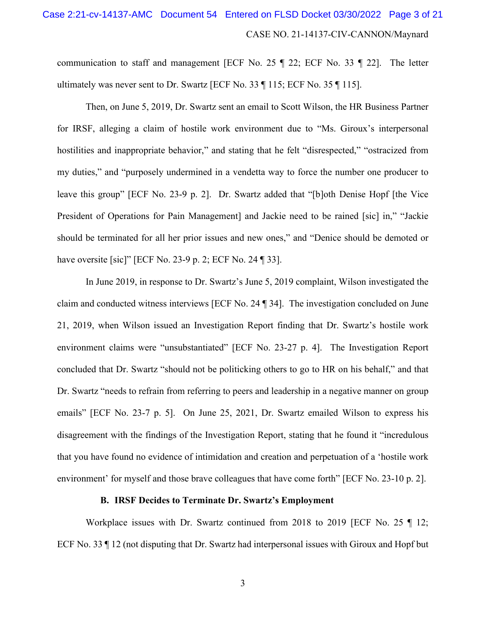## CASE NO. 21-14137-CIV-CANNON/Maynard Case 2:21-cv-14137-AMC Document 54 Entered on FLSD Docket 03/30/2022 Page 3 of 21

communication to staff and management [ECF No. 25 ¶ 22; ECF No. 33 ¶ 22]. The letter ultimately was never sent to Dr. Swartz [ECF No. 33 ¶ 115; ECF No. 35 ¶ 115].

Then, on June 5, 2019, Dr. Swartz sent an email to Scott Wilson, the HR Business Partner for IRSF, alleging a claim of hostile work environment due to "Ms. Giroux's interpersonal hostilities and inappropriate behavior," and stating that he felt "disrespected," "ostracized from my duties," and "purposely undermined in a vendetta way to force the number one producer to leave this group" [ECF No. 23-9 p. 2]. Dr. Swartz added that "[b]oth Denise Hopf [the Vice President of Operations for Pain Management] and Jackie need to be rained [sic] in," "Jackie should be terminated for all her prior issues and new ones," and "Denice should be demoted or have oversite [sic]" [ECF No. 23-9 p. 2; ECF No. 24 ¶ 33].

In June 2019, in response to Dr. Swartz's June 5, 2019 complaint, Wilson investigated the claim and conducted witness interviews [ECF No. 24 ¶ 34]. The investigation concluded on June 21, 2019, when Wilson issued an Investigation Report finding that Dr. Swartz's hostile work environment claims were "unsubstantiated" [ECF No. 23-27 p. 4]. The Investigation Report concluded that Dr. Swartz "should not be politicking others to go to HR on his behalf," and that Dr. Swartz "needs to refrain from referring to peers and leadership in a negative manner on group emails" [ECF No. 23-7 p. 5]. On June 25, 2021, Dr. Swartz emailed Wilson to express his disagreement with the findings of the Investigation Report, stating that he found it "incredulous that you have found no evidence of intimidation and creation and perpetuation of a 'hostile work environment' for myself and those brave colleagues that have come forth" [ECF No. 23-10 p. 2].

#### **B. IRSF Decides to Terminate Dr. Swartz's Employment**

Workplace issues with Dr. Swartz continued from 2018 to 2019 [ECF No. 25 ¶ 12; ECF No. 33 ¶ 12 (not disputing that Dr. Swartz had interpersonal issues with Giroux and Hopf but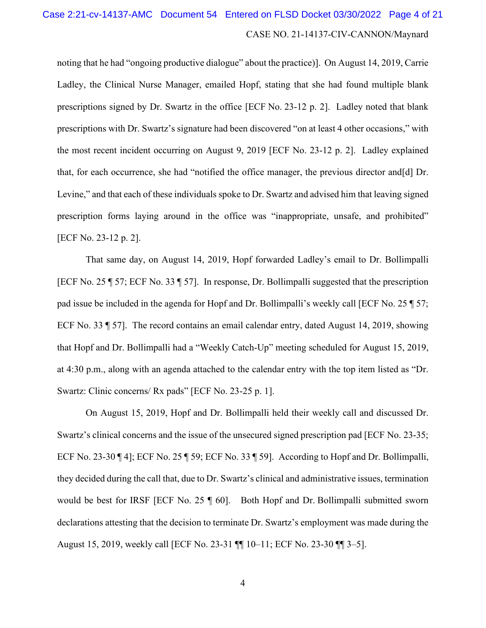# CASE NO. 21-14137-CIV-CANNON/Maynard Case 2:21-cv-14137-AMC Document 54 Entered on FLSD Docket 03/30/2022 Page 4 of 21

noting that he had "ongoing productive dialogue" about the practice)]. On August 14, 2019, Carrie Ladley, the Clinical Nurse Manager, emailed Hopf, stating that she had found multiple blank prescriptions signed by Dr. Swartz in the office [ECF No. 23-12 p. 2]. Ladley noted that blank prescriptions with Dr. Swartz's signature had been discovered "on at least 4 other occasions," with the most recent incident occurring on August 9, 2019 [ECF No. 23-12 p. 2]. Ladley explained that, for each occurrence, she had "notified the office manager, the previous director and[d] Dr. Levine," and that each of these individuals spoke to Dr. Swartz and advised him that leaving signed prescription forms laying around in the office was "inappropriate, unsafe, and prohibited" [ECF No. 23-12 p. 2].

That same day, on August 14, 2019, Hopf forwarded Ladley's email to Dr. Bollimpalli [ECF No. 25 ¶ 57; ECF No. 33 ¶ 57]. In response, Dr. Bollimpalli suggested that the prescription pad issue be included in the agenda for Hopf and Dr. Bollimpalli's weekly call [ECF No. 25 ¶ 57; ECF No. 33 ¶ 57]. The record contains an email calendar entry, dated August 14, 2019, showing that Hopf and Dr. Bollimpalli had a "Weekly Catch-Up" meeting scheduled for August 15, 2019, at 4:30 p.m., along with an agenda attached to the calendar entry with the top item listed as "Dr. Swartz: Clinic concerns/ Rx pads" [ECF No. 23-25 p. 1].

On August 15, 2019, Hopf and Dr. Bollimpalli held their weekly call and discussed Dr. Swartz's clinical concerns and the issue of the unsecured signed prescription pad [ECF No. 23-35; ECF No. 23-30 ¶ 4]; ECF No. 25 ¶ 59; ECF No. 33 ¶ 59]. According to Hopf and Dr. Bollimpalli, they decided during the call that, due to Dr. Swartz's clinical and administrative issues, termination would be best for IRSF [ECF No. 25 ¶ 60]. Both Hopf and Dr. Bollimpalli submitted sworn declarations attesting that the decision to terminate Dr. Swartz's employment was made during the August 15, 2019, weekly call [ECF No. 23-31 ¶¶ 10–11; ECF No. 23-30 ¶¶ 3–5].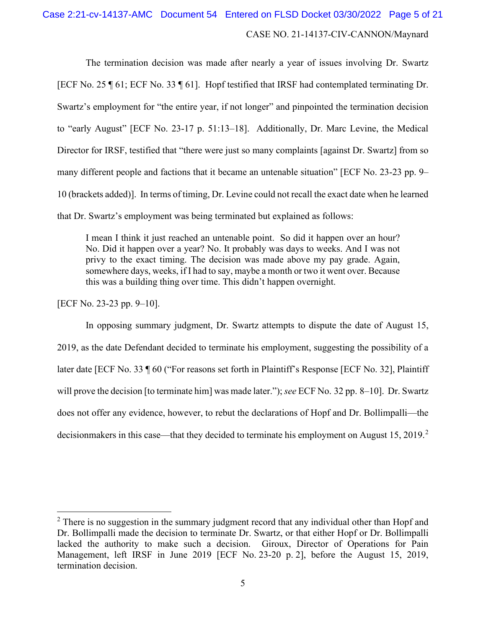### CASE NO. 21-14137-CIV-CANNON/Maynard Case 2:21-cv-14137-AMC Document 54 Entered on FLSD Docket 03/30/2022 Page 5 of 21

The termination decision was made after nearly a year of issues involving Dr. Swartz [ECF No. 25 ¶ 61; ECF No. 33 ¶ 61]. Hopf testified that IRSF had contemplated terminating Dr. Swartz's employment for "the entire year, if not longer" and pinpointed the termination decision to "early August" [ECF No. 23-17 p. 51:13–18]. Additionally, Dr. Marc Levine, the Medical Director for IRSF, testified that "there were just so many complaints [against Dr. Swartz] from so many different people and factions that it became an untenable situation" [ECF No. 23-23 pp. 9– 10 (brackets added)]. In terms of timing, Dr. Levine could not recall the exact date when he learned that Dr. Swartz's employment was being terminated but explained as follows:

I mean I think it just reached an untenable point. So did it happen over an hour? No. Did it happen over a year? No. It probably was days to weeks. And I was not privy to the exact timing. The decision was made above my pay grade. Again, somewhere days, weeks, if I had to say, maybe a month or two it went over. Because this was a building thing over time. This didn't happen overnight.

[ECF No. 23-23 pp. 9–10].

In opposing summary judgment, Dr. Swartz attempts to dispute the date of August 15, 2019, as the date Defendant decided to terminate his employment, suggesting the possibility of a later date [ECF No. 33 ¶ 60 ("For reasons set forth in Plaintiff's Response [ECF No. 32], Plaintiff will prove the decision [to terminate him] was made later."); *see* ECF No. 32 pp. 8–10]. Dr. Swartz does not offer any evidence, however, to rebut the declarations of Hopf and Dr. Bollimpalli—the decisionmakers in this case—that they decided to terminate his employment on August 15, [2](#page-4-0)019.<sup>2</sup>

<span id="page-4-0"></span> $2$  There is no suggestion in the summary judgment record that any individual other than Hopf and Dr. Bollimpalli made the decision to terminate Dr. Swartz, or that either Hopf or Dr. Bollimpalli lacked the authority to make such a decision. Giroux, Director of Operations for Pain Management, left IRSF in June 2019 [ECF No. 23-20 p. 2], before the August 15, 2019, termination decision.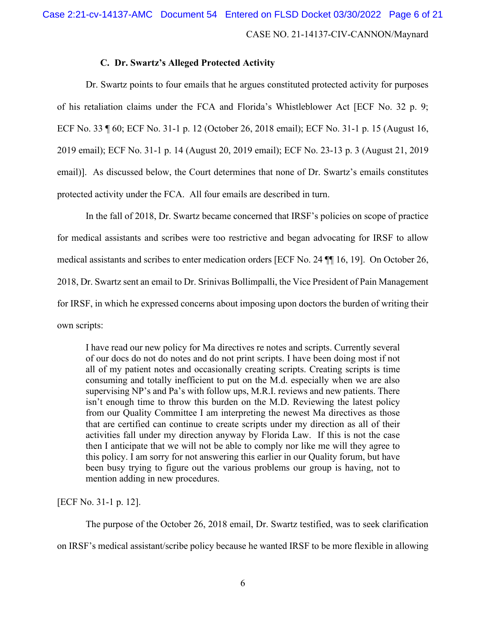#### **C. Dr. Swartz's Alleged Protected Activity**

Dr. Swartz points to four emails that he argues constituted protected activity for purposes of his retaliation claims under the FCA and Florida's Whistleblower Act [ECF No. 32 p. 9; ECF No. 33 ¶ 60; ECF No. 31-1 p. 12 (October 26, 2018 email); ECF No. 31-1 p. 15 (August 16, 2019 email); ECF No. 31-1 p. 14 (August 20, 2019 email); ECF No. 23-13 p. 3 (August 21, 2019 email)]. As discussed below, the Court determines that none of Dr. Swartz's emails constitutes protected activity under the FCA. All four emails are described in turn.

In the fall of 2018, Dr. Swartz became concerned that IRSF's policies on scope of practice for medical assistants and scribes were too restrictive and began advocating for IRSF to allow medical assistants and scribes to enter medication orders [ECF No. 24 ¶¶ 16, 19]. On October 26, 2018, Dr. Swartz sent an email to Dr. Srinivas Bollimpalli, the Vice President of Pain Management for IRSF, in which he expressed concerns about imposing upon doctors the burden of writing their own scripts:

I have read our new policy for Ma directives re notes and scripts. Currently several of our docs do not do notes and do not print scripts. I have been doing most if not all of my patient notes and occasionally creating scripts. Creating scripts is time consuming and totally inefficient to put on the M.d. especially when we are also supervising NP's and Pa's with follow ups, M.R.I. reviews and new patients. There isn't enough time to throw this burden on the M.D. Reviewing the latest policy from our Quality Committee I am interpreting the newest Ma directives as those that are certified can continue to create scripts under my direction as all of their activities fall under my direction anyway by Florida Law. If this is not the case then I anticipate that we will not be able to comply nor like me will they agree to this policy. I am sorry for not answering this earlier in our Quality forum, but have been busy trying to figure out the various problems our group is having, not to mention adding in new procedures.

[ECF No. 31-1 p. 12].

The purpose of the October 26, 2018 email, Dr. Swartz testified, was to seek clarification

on IRSF's medical assistant/scribe policy because he wanted IRSF to be more flexible in allowing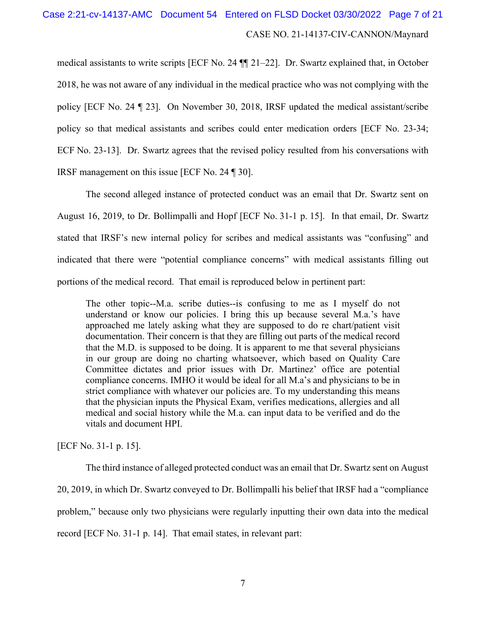# CASE NO. 21-14137-CIV-CANNON/Maynard Case 2:21-cv-14137-AMC Document 54 Entered on FLSD Docket 03/30/2022 Page 7 of 21

medical assistants to write scripts [ECF No. 24 ¶¶ 21–22]. Dr. Swartz explained that, in October 2018, he was not aware of any individual in the medical practice who was not complying with the policy [ECF No. 24 ¶ 23]. On November 30, 2018, IRSF updated the medical assistant/scribe policy so that medical assistants and scribes could enter medication orders [ECF No. 23-34; ECF No. 23-13]. Dr. Swartz agrees that the revised policy resulted from his conversations with IRSF management on this issue [ECF No. 24 ¶ 30].

The second alleged instance of protected conduct was an email that Dr. Swartz sent on August 16, 2019, to Dr. Bollimpalli and Hopf [ECF No. 31-1 p. 15]. In that email, Dr. Swartz stated that IRSF's new internal policy for scribes and medical assistants was "confusing" and indicated that there were "potential compliance concerns" with medical assistants filling out portions of the medical record. That email is reproduced below in pertinent part:

The other topic--M.a. scribe duties--is confusing to me as I myself do not understand or know our policies. I bring this up because several M.a.'s have approached me lately asking what they are supposed to do re chart/patient visit documentation. Their concern is that they are filling out parts of the medical record that the M.D. is supposed to be doing. It is apparent to me that several physicians in our group are doing no charting whatsoever, which based on Quality Care Committee dictates and prior issues with Dr. Martinez' office are potential compliance concerns. IMHO it would be ideal for all M.a's and physicians to be in strict compliance with whatever our policies are. To my understanding this means that the physician inputs the Physical Exam, verifies medications, allergies and all medical and social history while the M.a. can input data to be verified and do the vitals and document HPI.

[ECF No. 31-1 p. 15].

The third instance of alleged protected conduct was an email that Dr. Swartz sent on August 20, 2019, in which Dr. Swartz conveyed to Dr. Bollimpalli his belief that IRSF had a "compliance problem," because only two physicians were regularly inputting their own data into the medical record [ECF No. 31-1 p. 14]. That email states, in relevant part: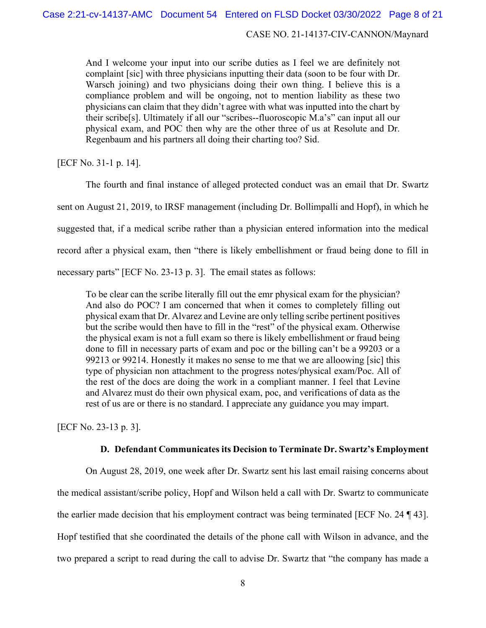#### CASE NO. 21-14137-CIV-CANNON/Maynard

And I welcome your input into our scribe duties as I feel we are definitely not complaint [sic] with three physicians inputting their data (soon to be four with Dr. Warsch joining) and two physicians doing their own thing. I believe this is a compliance problem and will be ongoing, not to mention liability as these two physicians can claim that they didn't agree with what was inputted into the chart by their scribe[s]. Ultimately if all our "scribes--fluoroscopic M.a's" can input all our physical exam, and POC then why are the other three of us at Resolute and Dr. Regenbaum and his partners all doing their charting too? Sid.

[ECF No. 31-1 p. 14].

The fourth and final instance of alleged protected conduct was an email that Dr. Swartz sent on August 21, 2019, to IRSF management (including Dr. Bollimpalli and Hopf), in which he suggested that, if a medical scribe rather than a physician entered information into the medical record after a physical exam, then "there is likely embellishment or fraud being done to fill in necessary parts" [ECF No. 23-13 p. 3]. The email states as follows:

To be clear can the scribe literally fill out the emr physical exam for the physician? And also do POC? I am concerned that when it comes to completely filling out physical exam that Dr. Alvarez and Levine are only telling scribe pertinent positives but the scribe would then have to fill in the "rest" of the physical exam. Otherwise the physical exam is not a full exam so there is likely embellishment or fraud being done to fill in necessary parts of exam and poc or the billing can't be a 99203 or a 99213 or 99214. Honestly it makes no sense to me that we are alloowing [sic] this type of physician non attachment to the progress notes/physical exam/Poc. All of the rest of the docs are doing the work in a compliant manner. I feel that Levine and Alvarez must do their own physical exam, poc, and verifications of data as the rest of us are or there is no standard. I appreciate any guidance you may impart.

[ECF No. 23-13 p. 3].

#### **D. Defendant Communicates its Decision to Terminate Dr. Swartz's Employment**

On August 28, 2019, one week after Dr. Swartz sent his last email raising concerns about the medical assistant/scribe policy, Hopf and Wilson held a call with Dr. Swartz to communicate the earlier made decision that his employment contract was being terminated [ECF No. 24 ¶ 43]. Hopf testified that she coordinated the details of the phone call with Wilson in advance, and the two prepared a script to read during the call to advise Dr. Swartz that "the company has made a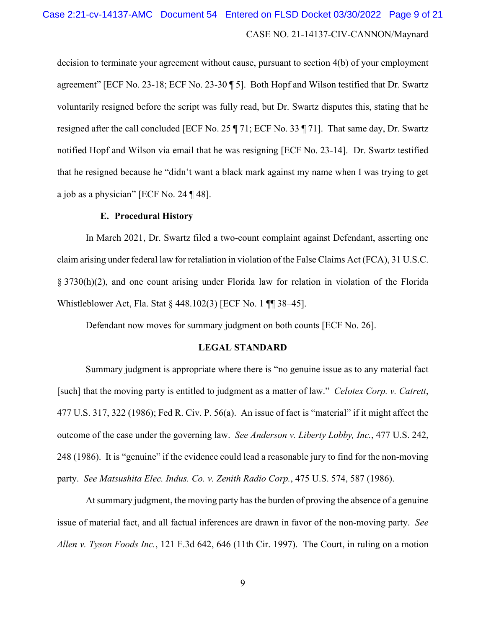# CASE NO. 21-14137-CIV-CANNON/Maynard Case 2:21-cv-14137-AMC Document 54 Entered on FLSD Docket 03/30/2022 Page 9 of 21

decision to terminate your agreement without cause, pursuant to section 4(b) of your employment agreement" [ECF No. 23-18; ECF No. 23-30 ¶ 5]. Both Hopf and Wilson testified that Dr. Swartz voluntarily resigned before the script was fully read, but Dr. Swartz disputes this, stating that he resigned after the call concluded [ECF No. 25 ¶ 71; ECF No. 33 ¶ 71]. That same day, Dr. Swartz notified Hopf and Wilson via email that he was resigning [ECF No. 23-14]. Dr. Swartz testified that he resigned because he "didn't want a black mark against my name when I was trying to get a job as a physician" [ECF No. 24 ¶ 48].

#### **E. Procedural History**

In March 2021, Dr. Swartz filed a two-count complaint against Defendant, asserting one claim arising under federal law for retaliation in violation of the False Claims Act (FCA), 31 U.S.C. § 3730(h)(2), and one count arising under Florida law for relation in violation of the Florida Whistleblower Act, Fla. Stat § 448.102(3) [ECF No. 1 ¶¶ 38–45].

Defendant now moves for summary judgment on both counts [ECF No. 26].

#### **LEGAL STANDARD**

Summary judgment is appropriate where there is "no genuine issue as to any material fact [such] that the moving party is entitled to judgment as a matter of law." *Celotex Corp. v. Catrett*, 477 U.S. 317, 322 (1986); Fed R. Civ. P. 56(a). An issue of fact is "material" if it might affect the outcome of the case under the governing law. *See Anderson v. Liberty Lobby, Inc.*, 477 U.S. 242, 248 (1986). It is "genuine" if the evidence could lead a reasonable jury to find for the non-moving party. *See Matsushita Elec. Indus. Co. v. Zenith Radio Corp.*, 475 U.S. 574, 587 (1986).

At summary judgment, the moving party has the burden of proving the absence of a genuine issue of material fact, and all factual inferences are drawn in favor of the non-moving party. *See Allen v. Tyson Foods Inc.*, 121 F.3d 642, 646 (11th Cir. 1997). The Court, in ruling on a motion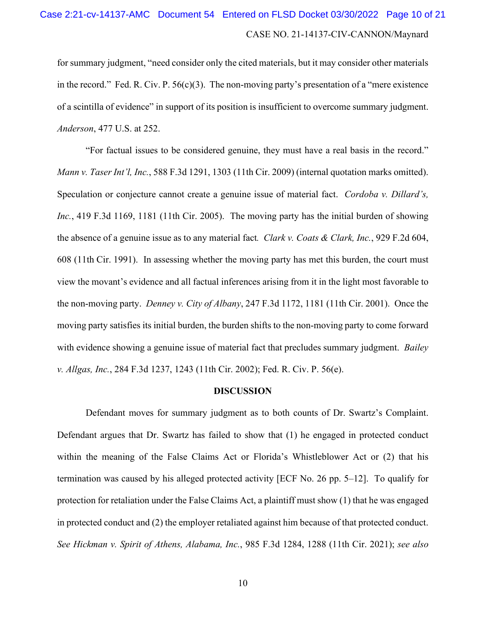# CASE NO. 21-14137-CIV-CANNON/Maynard Case 2:21-cv-14137-AMC Document 54 Entered on FLSD Docket 03/30/2022 Page 10 of 21

for summary judgment, "need consider only the cited materials, but it may consider other materials in the record." Fed. R. Civ. P.  $56(c)(3)$ . The non-moving party's presentation of a "mere existence" of a scintilla of evidence" in support of its position is insufficient to overcome summary judgment. *Anderson*, 477 U.S. at 252.

"For factual issues to be considered genuine, they must have a real basis in the record." *Mann v. Taser Int'l, Inc.*, 588 F.3d 1291, 1303 (11th Cir. 2009) (internal quotation marks omitted). Speculation or conjecture cannot create a genuine issue of material fact. *Cordoba v. Dillard's, Inc.*, 419 F.3d 1169, 1181 (11th Cir. 2005). The moving party has the initial burden of showing the absence of a genuine issue as to any material fact*. Clark v. Coats & Clark, Inc.*, 929 F.2d 604, 608 (11th Cir. 1991). In assessing whether the moving party has met this burden, the court must view the movant's evidence and all factual inferences arising from it in the light most favorable to the non-moving party. *Denney v. City of Albany*, 247 F.3d 1172, 1181 (11th Cir. 2001). Once the moving party satisfies its initial burden, the burden shifts to the non-moving party to come forward with evidence showing a genuine issue of material fact that precludes summary judgment. *Bailey v. Allgas, Inc.*, 284 F.3d 1237, 1243 (11th Cir. 2002); Fed. R. Civ. P. 56(e).

#### **DISCUSSION**

Defendant moves for summary judgment as to both counts of Dr. Swartz's Complaint. Defendant argues that Dr. Swartz has failed to show that (1) he engaged in protected conduct within the meaning of the False Claims Act or Florida's Whistleblower Act or (2) that his termination was caused by his alleged protected activity [ECF No. 26 pp. 5–12]. To qualify for protection for retaliation under the False Claims Act, a plaintiff must show (1) that he was engaged in protected conduct and (2) the employer retaliated against him because of that protected conduct. *See Hickman v. Spirit of Athens, Alabama, Inc.*, 985 F.3d 1284, 1288 (11th Cir. 2021); *see also*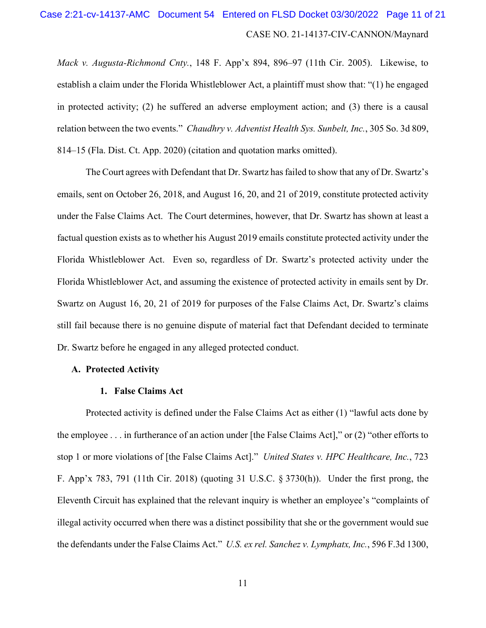# CASE NO. 21-14137-CIV-CANNON/Maynard Case 2:21-cv-14137-AMC Document 54 Entered on FLSD Docket 03/30/2022 Page 11 of 21

*Mack v. Augusta-Richmond Cnty.*, 148 F. App'x 894, 896–97 (11th Cir. 2005). Likewise, to establish a claim under the Florida Whistleblower Act, a plaintiff must show that: "(1) he engaged in protected activity; (2) he suffered an adverse employment action; and (3) there is a causal relation between the two events." *Chaudhry v. Adventist Health Sys. Sunbelt, Inc.*, 305 So. 3d 809, 814–15 (Fla. Dist. Ct. App. 2020) (citation and quotation marks omitted).

The Court agrees with Defendant that Dr. Swartz has failed to show that any of Dr. Swartz's emails, sent on October 26, 2018, and August 16, 20, and 21 of 2019, constitute protected activity under the False Claims Act. The Court determines, however, that Dr. Swartz has shown at least a factual question exists as to whether his August 2019 emails constitute protected activity under the Florida Whistleblower Act. Even so, regardless of Dr. Swartz's protected activity under the Florida Whistleblower Act, and assuming the existence of protected activity in emails sent by Dr. Swartz on August 16, 20, 21 of 2019 for purposes of the False Claims Act, Dr. Swartz's claims still fail because there is no genuine dispute of material fact that Defendant decided to terminate Dr. Swartz before he engaged in any alleged protected conduct.

#### **A. Protected Activity**

#### **1. False Claims Act**

Protected activity is defined under the False Claims Act as either (1) "lawful acts done by the employee . . . in furtherance of an action under [the False Claims Act]," or (2) "other efforts to stop 1 or more violations of [the False Claims Act]." *United States v. HPC Healthcare, Inc.*, 723 F. App'x 783, 791 (11th Cir. 2018) (quoting 31 U.S.C. § 3730(h)). Under the first prong, the Eleventh Circuit has explained that the relevant inquiry is whether an employee's "complaints of illegal activity occurred when there was a distinct possibility that she or the government would sue the defendants under the False Claims Act." *U.S. ex rel. Sanchez v. Lymphatx, Inc.*, 596 F.3d 1300,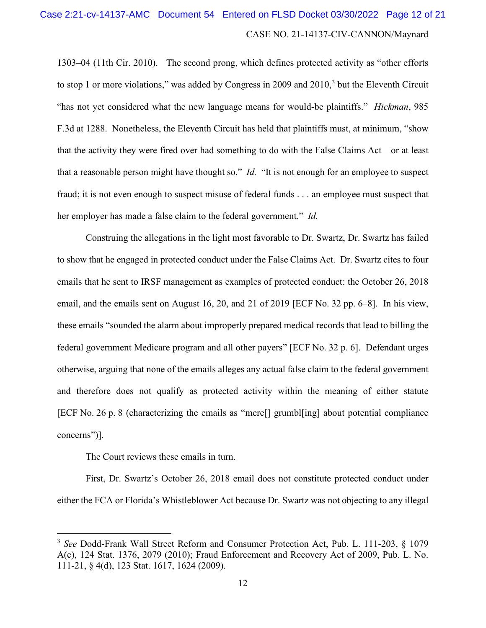# CASE NO. 21-14137-CIV-CANNON/Maynard Case 2:21-cv-14137-AMC Document 54 Entered on FLSD Docket 03/30/2022 Page 12 of 21

1303–04 (11th Cir. 2010). The second prong, which defines protected activity as "other efforts to stop 1 or more violations," was added by Congress in 2009 and  $2010<sup>3</sup>$  $2010<sup>3</sup>$  $2010<sup>3</sup>$  but the Eleventh Circuit "has not yet considered what the new language means for would-be plaintiffs." *Hickman*, 985 F.3d at 1288. Nonetheless, the Eleventh Circuit has held that plaintiffs must, at minimum, "show that the activity they were fired over had something to do with the False Claims Act—or at least that a reasonable person might have thought so." *Id.* "It is not enough for an employee to suspect fraud; it is not even enough to suspect misuse of federal funds . . . an employee must suspect that her employer has made a false claim to the federal government." *Id.*

Construing the allegations in the light most favorable to Dr. Swartz, Dr. Swartz has failed to show that he engaged in protected conduct under the False Claims Act. Dr. Swartz cites to four emails that he sent to IRSF management as examples of protected conduct: the October 26, 2018 email, and the emails sent on August 16, 20, and 21 of 2019 [ECF No. 32 pp. 6–8]. In his view, these emails "sounded the alarm about improperly prepared medical records that lead to billing the federal government Medicare program and all other payers" [ECF No. 32 p. 6]. Defendant urges otherwise, arguing that none of the emails alleges any actual false claim to the federal government and therefore does not qualify as protected activity within the meaning of either statute [ECF No. 26 p. 8 (characterizing the emails as "mere[] grumbl[ing] about potential compliance concerns")].

The Court reviews these emails in turn.

First, Dr. Swartz's October 26, 2018 email does not constitute protected conduct under either the FCA or Florida's Whistleblower Act because Dr. Swartz was not objecting to any illegal

<span id="page-11-0"></span><sup>3</sup> *See* Dodd-Frank Wall Street Reform and Consumer Protection Act, Pub. L. 111-203, § 1079 A(c), 124 Stat. 1376, 2079 (2010); Fraud Enforcement and Recovery Act of 2009, Pub. L. No. 111-21, § 4(d), 123 Stat. 1617, 1624 (2009).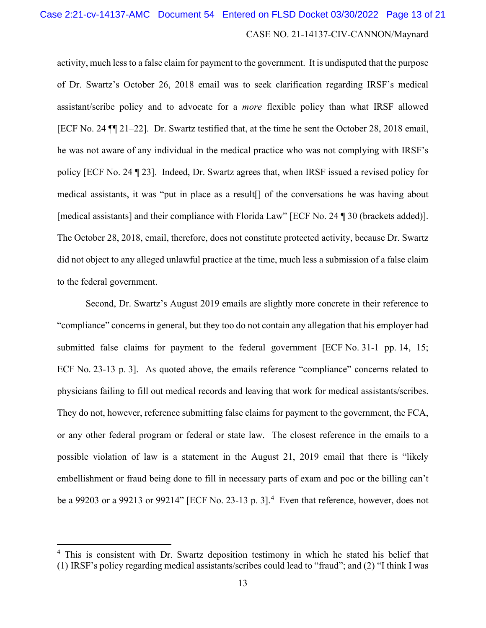# CASE NO. 21-14137-CIV-CANNON/Maynard Case 2:21-cv-14137-AMC Document 54 Entered on FLSD Docket 03/30/2022 Page 13 of 21

activity, much less to a false claim for payment to the government. It is undisputed that the purpose of Dr. Swartz's October 26, 2018 email was to seek clarification regarding IRSF's medical assistant/scribe policy and to advocate for a *more* flexible policy than what IRSF allowed [ECF No. 24 ¶¶ 21–22]. Dr. Swartz testified that, at the time he sent the October 28, 2018 email, he was not aware of any individual in the medical practice who was not complying with IRSF's policy [ECF No. 24 ¶ 23]. Indeed, Dr. Swartz agrees that, when IRSF issued a revised policy for medical assistants, it was "put in place as a result[] of the conversations he was having about [medical assistants] and their compliance with Florida Law" [ECF No. 24 ¶ 30 (brackets added)]. The October 28, 2018, email, therefore, does not constitute protected activity, because Dr. Swartz did not object to any alleged unlawful practice at the time, much less a submission of a false claim to the federal government.

Second, Dr. Swartz's August 2019 emails are slightly more concrete in their reference to "compliance" concerns in general, but they too do not contain any allegation that his employer had submitted false claims for payment to the federal government [ECF No. 31-1 pp. 14, 15; ECF No. 23-13 p. 3]. As quoted above, the emails reference "compliance" concerns related to physicians failing to fill out medical records and leaving that work for medical assistants/scribes. They do not, however, reference submitting false claims for payment to the government, the FCA, or any other federal program or federal or state law. The closest reference in the emails to a possible violation of law is a statement in the August 21, 2019 email that there is "likely embellishment or fraud being done to fill in necessary parts of exam and poc or the billing can't be a 99203 or a 99213 or 9921[4](#page-12-0)" [ECF No. 23-13 p. 3].<sup>4</sup> Even that reference, however, does not

<span id="page-12-0"></span><sup>&</sup>lt;sup>4</sup> This is consistent with Dr. Swartz deposition testimony in which he stated his belief that (1) IRSF's policy regarding medical assistants/scribes could lead to "fraud"; and (2) "I think I was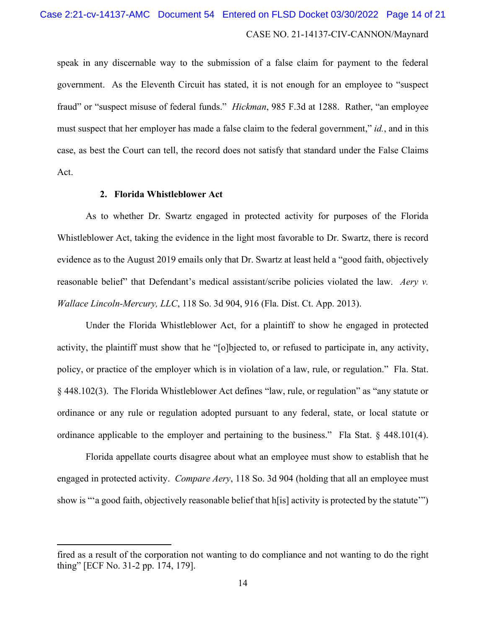# CASE NO. 21-14137-CIV-CANNON/Maynard Case 2:21-cv-14137-AMC Document 54 Entered on FLSD Docket 03/30/2022 Page 14 of 21

speak in any discernable way to the submission of a false claim for payment to the federal government. As the Eleventh Circuit has stated, it is not enough for an employee to "suspect fraud" or "suspect misuse of federal funds." *Hickman*, 985 F.3d at 1288. Rather, "an employee must suspect that her employer has made a false claim to the federal government," *id.*, and in this case, as best the Court can tell, the record does not satisfy that standard under the False Claims Act.

#### **2. Florida Whistleblower Act**

As to whether Dr. Swartz engaged in protected activity for purposes of the Florida Whistleblower Act, taking the evidence in the light most favorable to Dr. Swartz, there is record evidence as to the August 2019 emails only that Dr. Swartz at least held a "good faith, objectively reasonable belief" that Defendant's medical assistant/scribe policies violated the law. *Aery v. Wallace Lincoln-Mercury, LLC*, 118 So. 3d 904, 916 (Fla. Dist. Ct. App. 2013).

Under the Florida Whistleblower Act, for a plaintiff to show he engaged in protected activity, the plaintiff must show that he "[o]bjected to, or refused to participate in, any activity, policy, or practice of the employer which is in violation of a law, rule, or regulation." Fla. Stat. § 448.102(3). The Florida Whistleblower Act defines "law, rule, or regulation" as "any statute or ordinance or any rule or regulation adopted pursuant to any federal, state, or local statute or ordinance applicable to the employer and pertaining to the business." Fla Stat. § 448.101(4).

Florida appellate courts disagree about what an employee must show to establish that he engaged in protected activity. *Compare Aery*, 118 So. 3d 904 (holding that all an employee must show is "'a good faith, objectively reasonable belief that  $h[i]$  activity is protected by the statute'")

fired as a result of the corporation not wanting to do compliance and not wanting to do the right thing" [ECF No. 31-2 pp. 174, 179].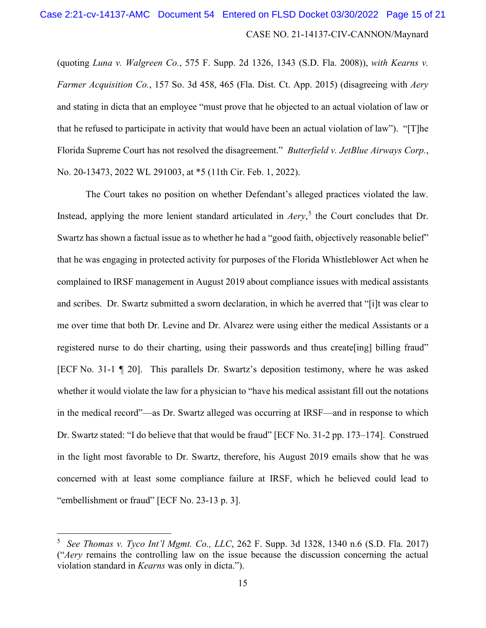## CASE NO. 21-14137-CIV-CANNON/Maynard Case 2:21-cv-14137-AMC Document 54 Entered on FLSD Docket 03/30/2022 Page 15 of 21

(quoting *Luna v. Walgreen Co.*, 575 F. Supp. 2d 1326, 1343 (S.D. Fla. 2008)), *with Kearns v. Farmer Acquisition Co.*, 157 So. 3d 458, 465 (Fla. Dist. Ct. App. 2015) (disagreeing with *Aery* and stating in dicta that an employee "must prove that he objected to an actual violation of law or that he refused to participate in activity that would have been an actual violation of law"). "[T]he Florida Supreme Court has not resolved the disagreement." *Butterfield v. JetBlue Airways Corp.*, No. 20-13473, 2022 WL 291003, at \*5 (11th Cir. Feb. 1, 2022).

The Court takes no position on whether Defendant's alleged practices violated the law. Instead, applying the more lenient standard articulated in *Aery*, [5](#page-14-0) the Court concludes that Dr. Swartz has shown a factual issue as to whether he had a "good faith, objectively reasonable belief" that he was engaging in protected activity for purposes of the Florida Whistleblower Act when he complained to IRSF management in August 2019 about compliance issues with medical assistants and scribes. Dr. Swartz submitted a sworn declaration, in which he averred that "[i]t was clear to me over time that both Dr. Levine and Dr. Alvarez were using either the medical Assistants or a registered nurse to do their charting, using their passwords and thus create[ing] billing fraud" [ECF No. 31-1 ¶ 20]. This parallels Dr. Swartz's deposition testimony, where he was asked whether it would violate the law for a physician to "have his medical assistant fill out the notations in the medical record"—as Dr. Swartz alleged was occurring at IRSF—and in response to which Dr. Swartz stated: "I do believe that that would be fraud" [ECF No. 31-2 pp. 173–174]. Construed in the light most favorable to Dr. Swartz, therefore, his August 2019 emails show that he was concerned with at least some compliance failure at IRSF, which he believed could lead to "embellishment or fraud" [ECF No. 23-13 p. 3].

<span id="page-14-0"></span><sup>5</sup> *See Thomas v. Tyco Int'l Mgmt. Co., LLC*, 262 F. Supp. 3d 1328, 1340 n.6 (S.D. Fla. 2017) ("*Aery* remains the controlling law on the issue because the discussion concerning the actual violation standard in *Kearns* was only in dicta.").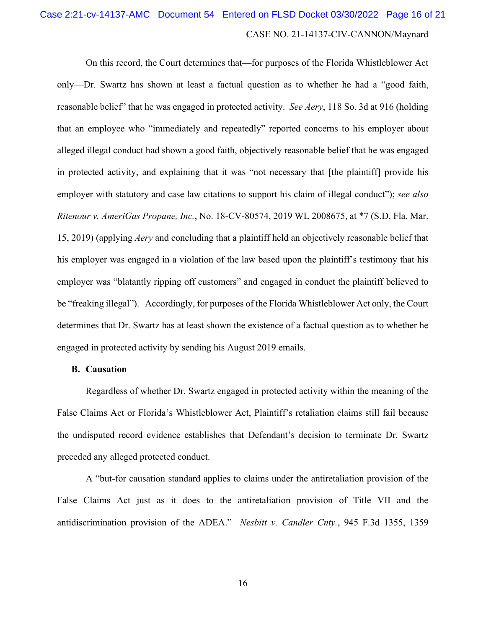# CASE NO. 21-14137-CIV-CANNON/Maynard Case 2:21-cv-14137-AMC Document 54 Entered on FLSD Docket 03/30/2022 Page 16 of 21

On this record, the Court determines that—for purposes of the Florida Whistleblower Act only—Dr. Swartz has shown at least a factual question as to whether he had a "good faith, reasonable belief" that he was engaged in protected activity. *See Aery*, 118 So. 3d at 916 (holding that an employee who "immediately and repeatedly" reported concerns to his employer about alleged illegal conduct had shown a good faith, objectively reasonable belief that he was engaged in protected activity, and explaining that it was "not necessary that [the plaintiff] provide his employer with statutory and case law citations to support his claim of illegal conduct"); *see also Ritenour v. AmeriGas Propane, Inc.*, No. 18-CV-80574, 2019 WL 2008675, at \*7 (S.D. Fla. Mar. 15, 2019) (applying *Aery* and concluding that a plaintiff held an objectively reasonable belief that his employer was engaged in a violation of the law based upon the plaintiff's testimony that his employer was "blatantly ripping off customers" and engaged in conduct the plaintiff believed to be "freaking illegal"). Accordingly, for purposes of the Florida Whistleblower Act only, the Court determines that Dr. Swartz has at least shown the existence of a factual question as to whether he engaged in protected activity by sending his August 2019 emails.

#### **B. Causation**

Regardless of whether Dr. Swartz engaged in protected activity within the meaning of the False Claims Act or Florida's Whistleblower Act, Plaintiff's retaliation claims still fail because the undisputed record evidence establishes that Defendant's decision to terminate Dr. Swartz preceded any alleged protected conduct.

A "but-for causation standard applies to claims under the antiretaliation provision of the False Claims Act just as it does to the antiretaliation provision of Title VII and the antidiscrimination provision of the ADEA." *Nesbitt v. Candler Cnty.*, 945 F.3d 1355, 1359

16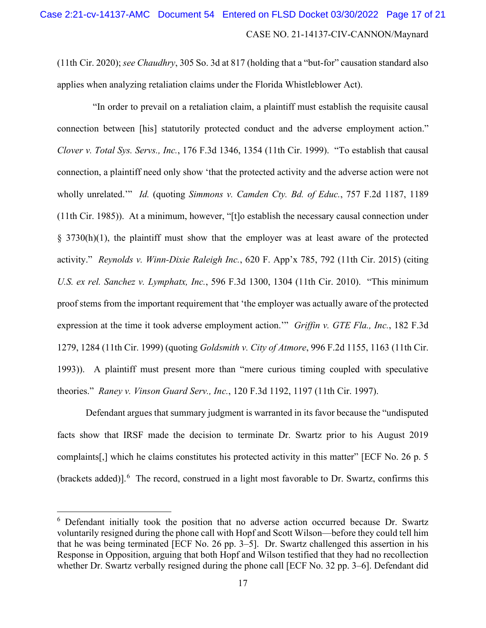(11th Cir. 2020); *see Chaudhry*, 305 So. 3d at 817 (holding that a "but-for" causation standard also applies when analyzing retaliation claims under the Florida Whistleblower Act).

 "In order to prevail on a retaliation claim, a plaintiff must establish the requisite causal connection between [his] statutorily protected conduct and the adverse employment action." *Clover v. Total Sys. Servs., Inc.*, 176 F.3d 1346, 1354 (11th Cir. 1999). "To establish that causal connection, a plaintiff need only show 'that the protected activity and the adverse action were not wholly unrelated.'" *Id.* (quoting *Simmons v. Camden Cty. Bd. of Educ.*, 757 F.2d 1187, 1189 (11th Cir. 1985)). At a minimum, however, "[t]o establish the necessary causal connection under § 3730(h)(1), the plaintiff must show that the employer was at least aware of the protected activity." *Reynolds v. Winn-Dixie Raleigh Inc.*, 620 F. App'x 785, 792 (11th Cir. 2015) (citing *U.S. ex rel. Sanchez v. Lymphatx, Inc.*, 596 F.3d 1300, 1304 (11th Cir. 2010). "This minimum proof stems from the important requirement that 'the employer was actually aware of the protected expression at the time it took adverse employment action.'" *Griffin v. GTE Fla., Inc.*, 182 F.3d 1279, 1284 (11th Cir. 1999) (quoting *Goldsmith v. City of Atmore*, 996 F.2d 1155, 1163 (11th Cir. 1993)). A plaintiff must present more than "mere curious timing coupled with speculative theories." *Raney v. Vinson Guard Serv., Inc.*, 120 F.3d 1192, 1197 (11th Cir. 1997).

Defendant argues that summary judgment is warranted in its favor because the "undisputed facts show that IRSF made the decision to terminate Dr. Swartz prior to his August 2019 complaints[,] which he claims constitutes his protected activity in this matter" [ECF No. 26 p. 5 (brackets added)].<sup>[6](#page-16-0)</sup> The record, construed in a light most favorable to Dr. Swartz, confirms this

<span id="page-16-0"></span><sup>&</sup>lt;sup>6</sup> Defendant initially took the position that no adverse action occurred because Dr. Swartz voluntarily resigned during the phone call with Hopf and Scott Wilson—before they could tell him that he was being terminated [ECF No. 26 pp. 3–5]. Dr. Swartz challenged this assertion in his Response in Opposition, arguing that both Hopf and Wilson testified that they had no recollection whether Dr. Swartz verbally resigned during the phone call [ECF No. 32 pp. 3–6]. Defendant did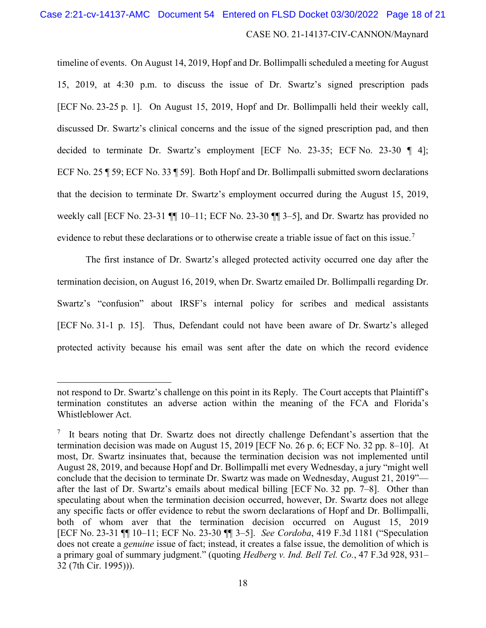# CASE NO. 21-14137-CIV-CANNON/Maynard Case 2:21-cv-14137-AMC Document 54 Entered on FLSD Docket 03/30/2022 Page 18 of 21

timeline of events. On August 14, 2019, Hopf and Dr. Bollimpalli scheduled a meeting for August 15, 2019, at 4:30 p.m. to discuss the issue of Dr. Swartz's signed prescription pads [ECF No. 23-25 p. 1]. On August 15, 2019, Hopf and Dr. Bollimpalli held their weekly call, discussed Dr. Swartz's clinical concerns and the issue of the signed prescription pad, and then decided to terminate Dr. Swartz's employment [ECF No. 23-35; ECF No. 23-30 ¶ 4]; ECF No. 25 ¶ 59; ECF No. 33 ¶ 59]. Both Hopf and Dr. Bollimpalli submitted sworn declarations that the decision to terminate Dr. Swartz's employment occurred during the August 15, 2019, weekly call [ECF No. 23-31  $\P$ ] 10–11; ECF No. 23-30  $\P$ ] 3–5], and Dr. Swartz has provided no evidence to rebut these declarations or to otherwise create a triable issue of fact on this issue.<sup>[7](#page-17-0)</sup>

The first instance of Dr. Swartz's alleged protected activity occurred one day after the termination decision, on August 16, 2019, when Dr. Swartz emailed Dr. Bollimpalli regarding Dr. Swartz's "confusion" about IRSF's internal policy for scribes and medical assistants [ECF No. 31-1 p. 15]. Thus, Defendant could not have been aware of Dr. Swartz's alleged protected activity because his email was sent after the date on which the record evidence

not respond to Dr. Swartz's challenge on this point in its Reply. The Court accepts that Plaintiff's termination constitutes an adverse action within the meaning of the FCA and Florida's Whistleblower Act.

<span id="page-17-0"></span> $7$  It bears noting that Dr. Swartz does not directly challenge Defendant's assertion that the termination decision was made on August 15, 2019 [ECF No. 26 p. 6; ECF No. 32 pp. 8–10]. At most, Dr. Swartz insinuates that, because the termination decision was not implemented until August 28, 2019, and because Hopf and Dr. Bollimpalli met every Wednesday, a jury "might well conclude that the decision to terminate Dr. Swartz was made on Wednesday, August 21, 2019" after the last of Dr. Swartz's emails about medical billing [ECF No. 32 pp. 7–8]. Other than speculating about when the termination decision occurred, however, Dr. Swartz does not allege any specific facts or offer evidence to rebut the sworn declarations of Hopf and Dr. Bollimpalli, both of whom aver that the termination decision occurred on August 15, 2019 [ECF No. 23-31 ¶¶ 10–11; ECF No. 23-30 ¶¶ 3–5]. *See Cordoba*, 419 F.3d 1181 ("Speculation does not create a *genuine* issue of fact; instead, it creates a false issue, the demolition of which is a primary goal of summary judgment." (quoting *Hedberg v. Ind. Bell Tel. Co.*, 47 F.3d 928, 931– 32 (7th Cir. 1995))).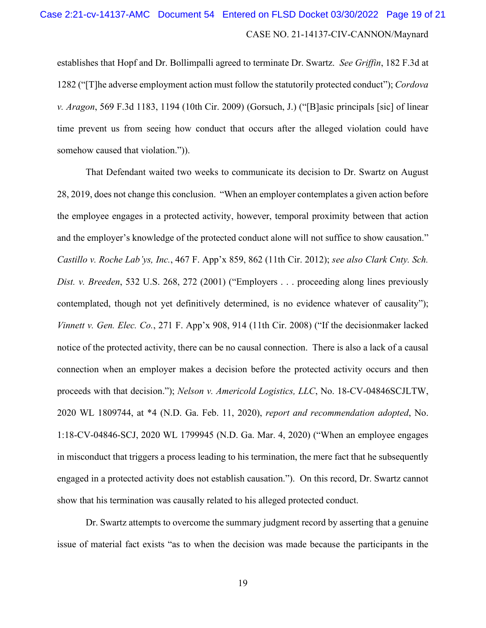# CASE NO. 21-14137-CIV-CANNON/Maynard Case 2:21-cv-14137-AMC Document 54 Entered on FLSD Docket 03/30/2022 Page 19 of 21

establishes that Hopf and Dr. Bollimpalli agreed to terminate Dr. Swartz. *See Griffin*, 182 F.3d at 1282 ("[T]he adverse employment action must follow the statutorily protected conduct"); *Cordova v. Aragon*, 569 F.3d 1183, 1194 (10th Cir. 2009) (Gorsuch, J.) ("[B]asic principals [sic] of linear time prevent us from seeing how conduct that occurs after the alleged violation could have somehow caused that violation.")).

That Defendant waited two weeks to communicate its decision to Dr. Swartz on August 28, 2019, does not change this conclusion. "When an employer contemplates a given action before the employee engages in a protected activity, however, temporal proximity between that action and the employer's knowledge of the protected conduct alone will not suffice to show causation." *Castillo v. Roche Lab'ys, Inc.*, 467 F. App'x 859, 862 (11th Cir. 2012); *see also Clark Cnty. Sch. Dist. v. Breeden*, 532 U.S. 268, 272 (2001) ("Employers . . . proceeding along lines previously contemplated, though not yet definitively determined, is no evidence whatever of causality"); *Vinnett v. Gen. Elec. Co.*, 271 F. App'x 908, 914 (11th Cir. 2008) ("If the decisionmaker lacked notice of the protected activity, there can be no causal connection. There is also a lack of a causal connection when an employer makes a decision before the protected activity occurs and then proceeds with that decision."); *Nelson v. Americold Logistics, LLC*, No. 18-CV-04846SCJLTW, 2020 WL 1809744, at \*4 (N.D. Ga. Feb. 11, 2020), *report and recommendation adopted*, No. 1:18-CV-04846-SCJ, 2020 WL 1799945 (N.D. Ga. Mar. 4, 2020) ("When an employee engages in misconduct that triggers a process leading to his termination, the mere fact that he subsequently engaged in a protected activity does not establish causation."). On this record, Dr. Swartz cannot show that his termination was causally related to his alleged protected conduct.

Dr. Swartz attempts to overcome the summary judgment record by asserting that a genuine issue of material fact exists "as to when the decision was made because the participants in the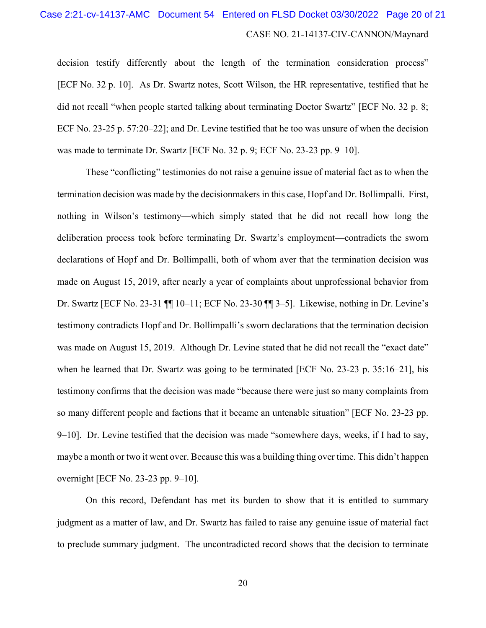# CASE NO. 21-14137-CIV-CANNON/Maynard Case 2:21-cv-14137-AMC Document 54 Entered on FLSD Docket 03/30/2022 Page 20 of 21

decision testify differently about the length of the termination consideration process" [ECF No. 32 p. 10]. As Dr. Swartz notes, Scott Wilson, the HR representative, testified that he did not recall "when people started talking about terminating Doctor Swartz" [ECF No. 32 p. 8; ECF No. 23-25 p. 57:20–22]; and Dr. Levine testified that he too was unsure of when the decision was made to terminate Dr. Swartz [ECF No. 32 p. 9; ECF No. 23-23 pp. 9–10].

These "conflicting" testimonies do not raise a genuine issue of material fact as to when the termination decision was made by the decisionmakers in this case, Hopf and Dr. Bollimpalli. First, nothing in Wilson's testimony—which simply stated that he did not recall how long the deliberation process took before terminating Dr. Swartz's employment—contradicts the sworn declarations of Hopf and Dr. Bollimpalli, both of whom aver that the termination decision was made on August 15, 2019, after nearly a year of complaints about unprofessional behavior from Dr. Swartz [ECF No. 23-31 ¶¶ 10–11; ECF No. 23-30 ¶¶ 3–5]. Likewise, nothing in Dr. Levine's testimony contradicts Hopf and Dr. Bollimpalli's sworn declarations that the termination decision was made on August 15, 2019. Although Dr. Levine stated that he did not recall the "exact date" when he learned that Dr. Swartz was going to be terminated [ECF No. 23-23 p. 35:16–21], his testimony confirms that the decision was made "because there were just so many complaints from so many different people and factions that it became an untenable situation" [ECF No. 23-23 pp. 9–10]. Dr. Levine testified that the decision was made "somewhere days, weeks, if I had to say, maybe a month or two it went over. Because this was a building thing over time. This didn't happen overnight [ECF No. 23-23 pp. 9–10].

On this record, Defendant has met its burden to show that it is entitled to summary judgment as a matter of law, and Dr. Swartz has failed to raise any genuine issue of material fact to preclude summary judgment. The uncontradicted record shows that the decision to terminate